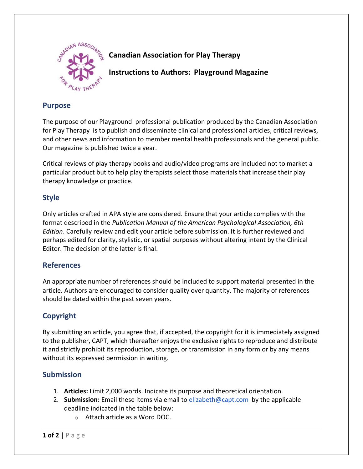

# **Canadian Association for Play Therapy**

**Instructions to Authors: Playground Magazine**

### **Purpose**

The purpose of our Playground professional publication produced by the Canadian Association for Play Therapy is to publish and disseminate clinical and professional articles, critical reviews, and other news and information to member mental health professionals and the general public. Our magazine is published twice a year.

Critical reviews of play therapy books and audio/video programs are included not to market a particular product but to help play therapists select those materials that increase their play therapy knowledge or practice.

## **Style**

Only articles crafted in APA style are considered. Ensure that your article complies with the format described in the *Publication Manual of the American Psychological Association, 6th Edition*. Carefully review and edit your article before submission. It is further reviewed and perhaps edited for clarity, stylistic, or spatial purposes without altering intent by the Clinical Editor. The decision of the latter is final.

### **References**

An appropriate number of references should be included to support material presented in the article. Authors are encouraged to consider quality over quantity. The majority of references should be dated within the past seven years.

# **Copyright**

By submitting an article, you agree that, if accepted, the copyright for it is immediately assigned to the publisher, CAPT, which thereafter enjoys the exclusive rights to reproduce and distribute it and strictly prohibit its reproduction, storage, or transmission in any form or by any means without its expressed permission in writing.

## **Submission**

- 1. **Articles:** Limit 2,000 words. Indicate its purpose and theoretical orientation.
- 2. **Submission:** Email these items via email t[o elizabeth@capt.com](mailto:elizabeth@capt.com) by the applicable deadline indicated in the table below:
	- o Attach article as a Word DOC.